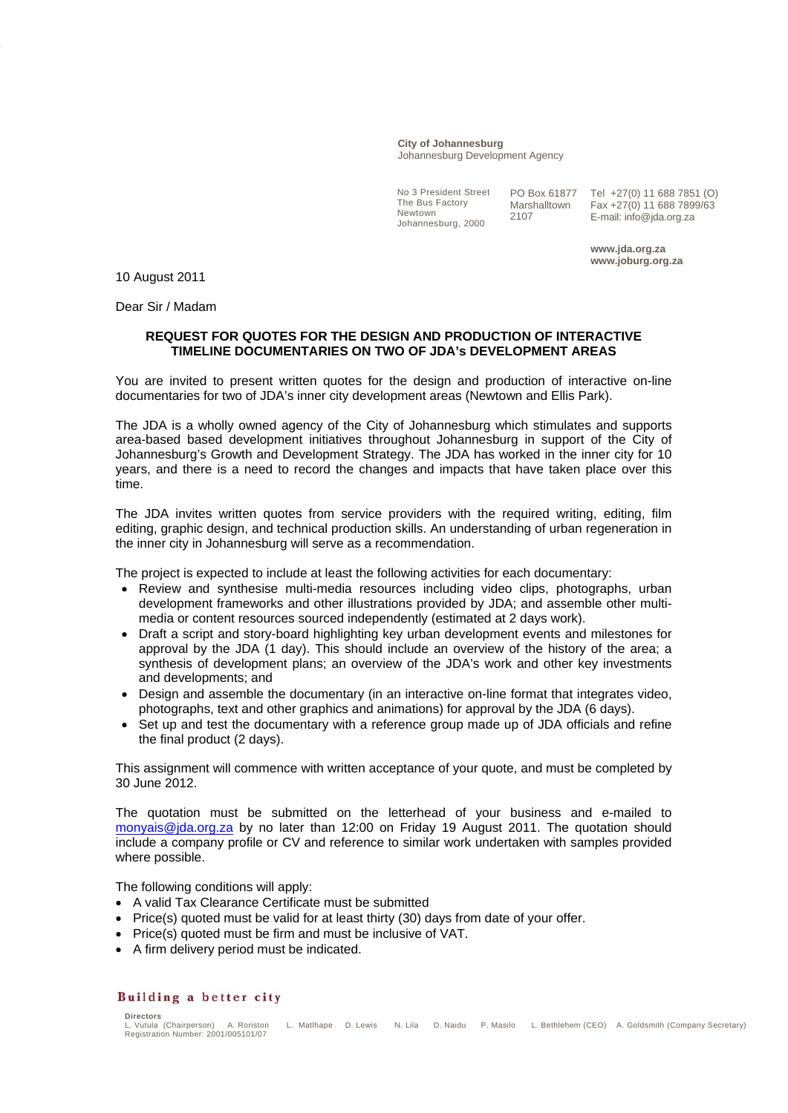## **City of Johannesburg** Johannesburg Development Agency

No 3 President Street The Bus Factory Newtown Johannesburg, 2000

PO Box 61877 Marshalltown 2107

Tel +27(0) 11 688 7851 (O) Fax +27(0) 11 688 7899/63 E-mail: info@jda.org.za

**www.jda.org.za www.joburg.org.za** 

10 August 2011

Dear Sir / Madam

## **REQUEST FOR QUOTES FOR THE DESIGN AND PRODUCTION OF INTERACTIVE TIMELINE DOCUMENTARIES ON TWO OF JDA's DEVELOPMENT AREAS**

You are invited to present written quotes for the design and production of interactive on-line documentaries for two of JDA's inner city development areas (Newtown and Ellis Park).

The JDA is a wholly owned agency of the City of Johannesburg which stimulates and supports area-based based development initiatives throughout Johannesburg in support of the City of Johannesburg's Growth and Development Strategy. The JDA has worked in the inner city for 10 years, and there is a need to record the changes and impacts that have taken place over this time.

The JDA invites written quotes from service providers with the required writing, editing, film editing, graphic design, and technical production skills. An understanding of urban regeneration in the inner city in Johannesburg will serve as a recommendation.

The project is expected to include at least the following activities for each documentary:

- Review and synthesise multi-media resources including video clips, photographs, urban development frameworks and other illustrations provided by JDA; and assemble other multimedia or content resources sourced independently (estimated at 2 days work).
- Draft a script and story-board highlighting key urban development events and milestones for approval by the JDA (1 day). This should include an overview of the history of the area; a synthesis of development plans; an overview of the JDA's work and other key investments and developments; and
- Design and assemble the documentary (in an interactive on-line format that integrates video, photographs, text and other graphics and animations) for approval by the JDA (6 days).
- Set up and test the documentary with a reference group made up of JDA officials and refine the final product (2 days).

This assignment will commence with written acceptance of your quote, and must be completed by 30 June 2012.

The quotation must be submitted on the letterhead of your business and e-mailed to monyais@jda.org.za by no later than 12:00 on Friday 19 August 2011. The quotation should include a company profile or CV and reference to similar work undertaken with samples provided where possible.

The following conditions will apply:

- A valid Tax Clearance Certificate must be submitted
- Price(s) quoted must be valid for at least thirty (30) days from date of your offer.
- Price(s) quoted must be firm and must be inclusive of VAT.
- A firm delivery period must be indicated.

## Building a better city

**Directors**  L. Matlhape D. Lewis N. Lila D. Naidu P. Masilo L. Bethlehem (CEO) A. Goldsmith (Company Secretary) Registration Number: 2001/005101/07